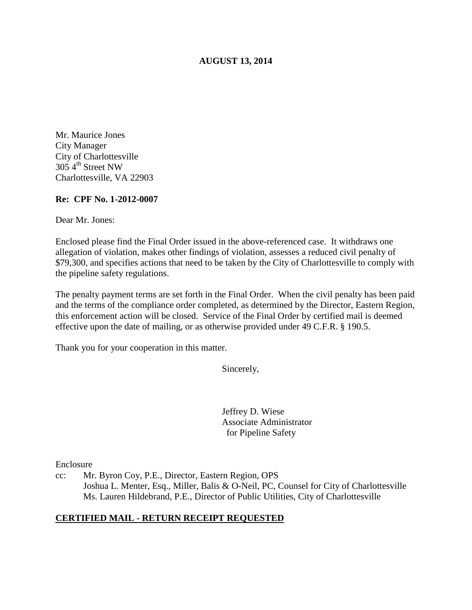# **AUGUST 13, 2014**

Mr. Maurice Jones City Manager City of Charlottesville  $305 \, 4^{\text{th}}$  Street NW Charlottesville, VA 22903

#### **Re: CPF No. 1-2012-0007**

Dear Mr. Jones:

Enclosed please find the Final Order issued in the above-referenced case. It withdraws one allegation of violation, makes other findings of violation, assesses a reduced civil penalty of \$79,300, and specifies actions that need to be taken by the City of Charlottesville to comply with the pipeline safety regulations.

The penalty payment terms are set forth in the Final Order. When the civil penalty has been paid and the terms of the compliance order completed, as determined by the Director, Eastern Region, this enforcement action will be closed. Service of the Final Order by certified mail is deemed effective upon the date of mailing, or as otherwise provided under 49 C.F.R. § 190.5.

Thank you for your cooperation in this matter.

Sincerely,

Jeffrey D. Wiese Associate Administrator for Pipeline Safety

Enclosure

cc: Mr. Byron Coy, P.E., Director, Eastern Region, OPS Joshua L. Menter, Esq., Miller, Balis & O-Neil, PC, Counsel for City of Charlottesville Ms. Lauren Hildebrand, P.E., Director of Public Utilities, City of Charlottesville

### **CERTIFIED MAIL - RETURN RECEIPT REQUESTED**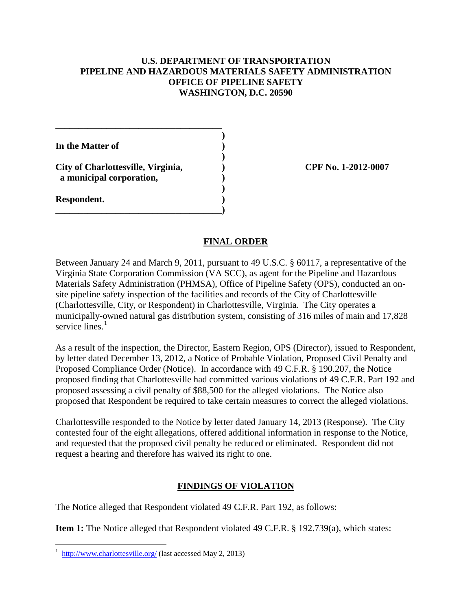# **U.S. DEPARTMENT OF TRANSPORTATION PIPELINE AND HAZARDOUS MATERIALS SAFETY ADMINISTRATION OFFICE OF PIPELINE SAFETY WASHINGTON, D.C. 20590**

| In the Matter of                                               |  |
|----------------------------------------------------------------|--|
| City of Charlottesville, Virginia,<br>a municipal corporation, |  |
| Respondent.                                                    |  |
|                                                                |  |

**City of Charlottesville, Virginia, ) CPF No. 1-2012-0007** 

# **FINAL ORDER**

Between January 24 and March 9, 2011, pursuant to 49 U.S.C. § 60117, a representative of the Virginia State Corporation Commission (VA SCC), as agent for the Pipeline and Hazardous Materials Safety Administration (PHMSA), Office of Pipeline Safety (OPS), conducted an onsite pipeline safety inspection of the facilities and records of the City of Charlottesville (Charlottesville, City, or Respondent) in Charlottesville, Virginia. The City operates a municipally-owned natural gas distribution system, consisting of 316 miles of main and 17,828 service lines.<sup>1</sup>

As a result of the inspection, the Director, Eastern Region, OPS (Director), issued to Respondent, by letter dated December 13, 2012, a Notice of Probable Violation, Proposed Civil Penalty and Proposed Compliance Order (Notice). In accordance with 49 C.F.R. § 190.207, the Notice proposed finding that Charlottesville had committed various violations of 49 C.F.R. Part 192 and proposed assessing a civil penalty of \$88,500 for the alleged violations. The Notice also proposed that Respondent be required to take certain measures to correct the alleged violations.

Charlottesville responded to the Notice by letter dated January 14, 2013 (Response). The City contested four of the eight allegations, offered additional information in response to the Notice, and requested that the proposed civil penalty be reduced or eliminated. Respondent did not request a hearing and therefore has waived its right to one.

# **FINDINGS OF VIOLATION**

The Notice alleged that Respondent violated 49 C.F.R. Part 192, as follows:

**Item 1:** The Notice alleged that Respondent violated 49 C.F.R. § 192.739(a), which states:

<sup>&</sup>lt;sup>1</sup> http://www.charlottesville.org/ (last accessed May 2, 2013)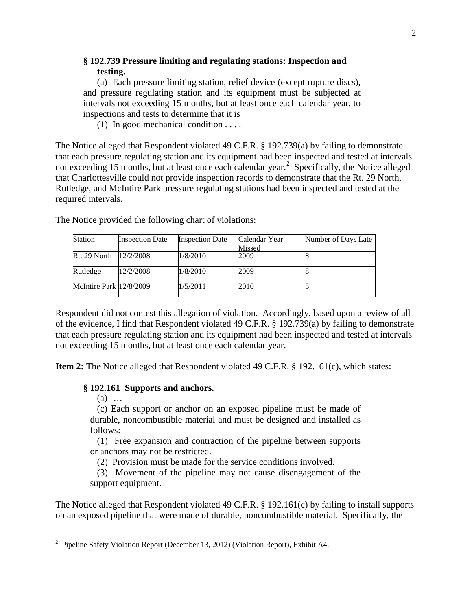# **§ 192.739 Pressure limiting and regulating stations: Inspection and testing.**

(a) Each pressure limiting station, relief device (except rupture discs), and pressure regulating station and its equipment must be subjected at intervals not exceeding 15 months, but at least once each calendar year, to inspections and tests to determine that it is

(1) In good mechanical condition . . . .

The Notice alleged that Respondent violated 49 C.F.R. § 192.739(a) by failing to demonstrate that each pressure regulating station and its equipment had been inspected and tested at intervals not exceeding 15 months, but at least once each calendar year. 2 Specifically, the Notice alleged that Charlottesville could not provide inspection records to demonstrate that the Rt. 29 North, Rutledge, and McIntire Park pressure regulating stations had been inspected and tested at the required intervals.

| <b>Station</b>          | <b>Inspection Date</b> | <b>Inspection Date</b> | Calendar Year | Number of Days Late |
|-------------------------|------------------------|------------------------|---------------|---------------------|
|                         |                        |                        | Missed        |                     |
| Rt. 29 North            | 12/2/2008              | 1/8/2010               | 2009          |                     |
| Rutledge                | 12/2/2008              | 1/8/2010               | 2009          |                     |
| McIntire Park 12/8/2009 |                        | 1/5/2011               | 2010          |                     |

The Notice provided the following chart of violations:

Respondent did not contest this allegation of violation. Accordingly, based upon a review of all of the evidence, I find that Respondent violated 49 C.F.R. § 192.739(a) by failing to demonstrate that each pressure regulating station and its equipment had been inspected and tested at intervals not exceeding 15 months, but at least once each calendar year.

**Item 2:** The Notice alleged that Respondent violated 49 C.F.R. § 192.161(c), which states:

#### **§ 192.161 Supports and anchors.**

(a) …

(c) Each support or anchor on an exposed pipeline must be made of durable, noncombustible material and must be designed and installed as follows:

(1) Free expansion and contraction of the pipeline between supports or anchors may not be restricted.

(2) Provision must be made for the service conditions involved.

(3) Movement of the pipeline may not cause disengagement of the support equipment.

The Notice alleged that Respondent violated 49 C.F.R. § 192.161(c) by failing to install supports on an exposed pipeline that were made of durable, noncombustible material. Specifically, the

 2 Pipeline Safety Violation Report (December 13, 2012) (Violation Report), Exhibit A4.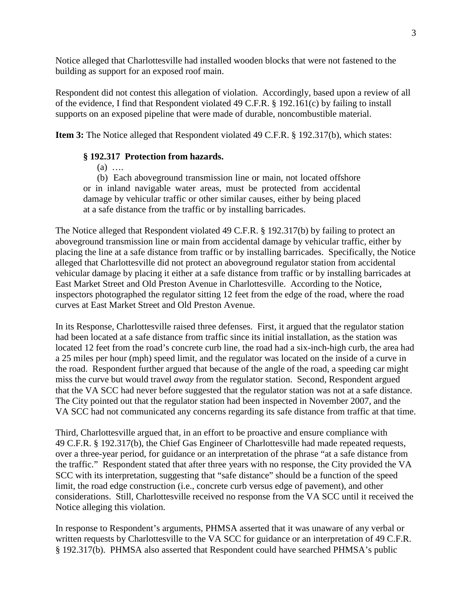Notice alleged that Charlottesville had installed wooden blocks that were not fastened to the building as support for an exposed roof main.

Respondent did not contest this allegation of violation. Accordingly, based upon a review of all of the evidence, I find that Respondent violated 49 C.F.R. § 192.161(c) by failing to install supports on an exposed pipeline that were made of durable, noncombustible material.

**Item 3:** The Notice alleged that Respondent violated 49 C.F.R. § 192.317(b), which states:

### **§ 192.317 Protection from hazards.**

 $(a)$  …

(b) Each aboveground transmission line or main, not located offshore or in inland navigable water areas, must be protected from accidental damage by vehicular traffic or other similar causes, either by being placed at a safe distance from the traffic or by installing barricades.

The Notice alleged that Respondent violated 49 C.F.R. § 192.317(b) by failing to protect an aboveground transmission line or main from accidental damage by vehicular traffic, either by placing the line at a safe distance from traffic or by installing barricades. Specifically, the Notice alleged that Charlottesville did not protect an aboveground regulator station from accidental vehicular damage by placing it either at a safe distance from traffic or by installing barricades at East Market Street and Old Preston Avenue in Charlottesville. According to the Notice, inspectors photographed the regulator sitting 12 feet from the edge of the road, where the road curves at East Market Street and Old Preston Avenue.

In its Response, Charlottesville raised three defenses. First, it argued that the regulator station had been located at a safe distance from traffic since its initial installation, as the station was located 12 feet from the road's concrete curb line, the road had a six-inch-high curb, the area had a 25 miles per hour (mph) speed limit, and the regulator was located on the inside of a curve in the road. Respondent further argued that because of the angle of the road, a speeding car might miss the curve but would travel *away* from the regulator station. Second, Respondent argued that the VA SCC had never before suggested that the regulator station was not at a safe distance. The City pointed out that the regulator station had been inspected in November 2007, and the VA SCC had not communicated any concerns regarding its safe distance from traffic at that time.

Third, Charlottesville argued that, in an effort to be proactive and ensure compliance with 49 C.F.R. § 192.317(b), the Chief Gas Engineer of Charlottesville had made repeated requests, over a three-year period, for guidance or an interpretation of the phrase "at a safe distance from the traffic." Respondent stated that after three years with no response, the City provided the VA SCC with its interpretation, suggesting that "safe distance" should be a function of the speed limit, the road edge construction (i.e., concrete curb versus edge of pavement), and other considerations. Still, Charlottesville received no response from the VA SCC until it received the Notice alleging this violation.

In response to Respondent's arguments, PHMSA asserted that it was unaware of any verbal or written requests by Charlottesville to the VA SCC for guidance or an interpretation of 49 C.F.R. § 192.317(b). PHMSA also asserted that Respondent could have searched PHMSA's public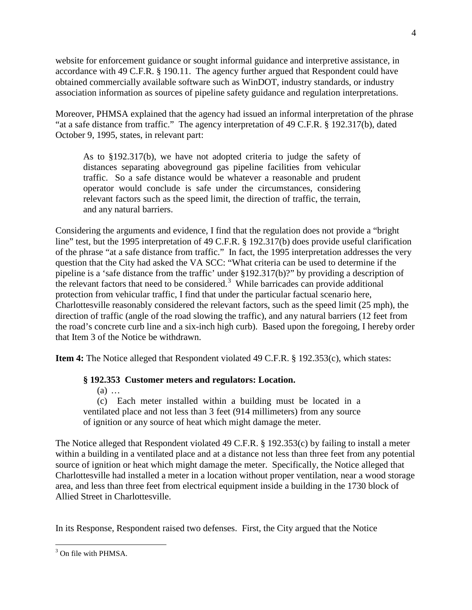website for enforcement guidance or sought informal guidance and interpretive assistance, in accordance with 49 C.F.R. § 190.11. The agency further argued that Respondent could have obtained commercially available software such as WinDOT, industry standards, or industry association information as sources of pipeline safety guidance and regulation interpretations.

Moreover, PHMSA explained that the agency had issued an informal interpretation of the phrase "at a safe distance from traffic." The agency interpretation of 49 C.F.R. § 192.317(b), dated October 9, 1995, states, in relevant part:

As to §192.317(b), we have not adopted criteria to judge the safety of distances separating aboveground gas pipeline facilities from vehicular traffic. So a safe distance would be whatever a reasonable and prudent operator would conclude is safe under the circumstances, considering relevant factors such as the speed limit, the direction of traffic, the terrain, and any natural barriers.

Considering the arguments and evidence, I find that the regulation does not provide a "bright line" test, but the 1995 interpretation of 49 C.F.R. § 192.317(b) does provide useful clarification of the phrase "at a safe distance from traffic." In fact, the 1995 interpretation addresses the very question that the City had asked the VA SCC: "What criteria can be used to determine if the pipeline is a 'safe distance from the traffic' under §192.317(b)?" by providing a description of the relevant factors that need to be considered.<sup>3</sup> While barricades can provide additional protection from vehicular traffic, I find that under the particular factual scenario here, Charlottesville reasonably considered the relevant factors, such as the speed limit (25 mph), the direction of traffic (angle of the road slowing the traffic), and any natural barriers (12 feet from the road's concrete curb line and a six-inch high curb). Based upon the foregoing, I hereby order that Item 3 of the Notice be withdrawn.

**Item 4:** The Notice alleged that Respondent violated 49 C.F.R. § 192.353(c), which states:

# **§ 192.353 Customer meters and regulators: Location.**

(a) …

(c) Each meter installed within a building must be located in a ventilated place and not less than 3 feet (914 millimeters) from any source of ignition or any source of heat which might damage the meter.

The Notice alleged that Respondent violated 49 C.F.R. § 192.353(c) by failing to install a meter within a building in a ventilated place and at a distance not less than three feet from any potential source of ignition or heat which might damage the meter. Specifically, the Notice alleged that Charlottesville had installed a meter in a location without proper ventilation, near a wood storage area, and less than three feet from electrical equipment inside a building in the 1730 block of Allied Street in Charlottesville.

In its Response, Respondent raised two defenses. First, the City argued that the Notice

 $\overline{a}$  $3$  On file with PHMSA.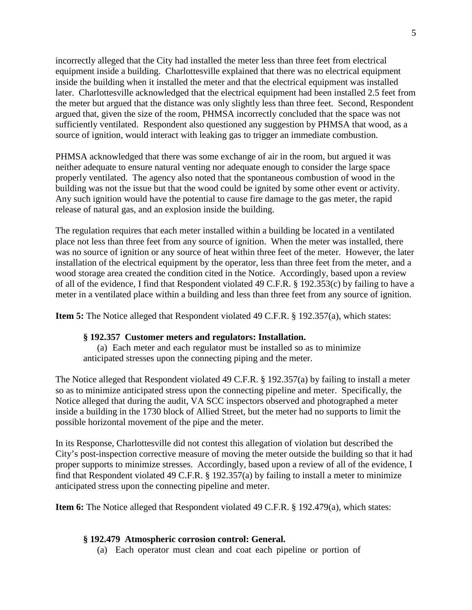incorrectly alleged that the City had installed the meter less than three feet from electrical equipment inside a building. Charlottesville explained that there was no electrical equipment inside the building when it installed the meter and that the electrical equipment was installed later. Charlottesville acknowledged that the electrical equipment had been installed 2.5 feet from the meter but argued that the distance was only slightly less than three feet. Second, Respondent argued that, given the size of the room, PHMSA incorrectly concluded that the space was not sufficiently ventilated. Respondent also questioned any suggestion by PHMSA that wood, as a source of ignition, would interact with leaking gas to trigger an immediate combustion.

PHMSA acknowledged that there was some exchange of air in the room, but argued it was neither adequate to ensure natural venting nor adequate enough to consider the large space properly ventilated. The agency also noted that the spontaneous combustion of wood in the building was not the issue but that the wood could be ignited by some other event or activity. Any such ignition would have the potential to cause fire damage to the gas meter, the rapid release of natural gas, and an explosion inside the building.

The regulation requires that each meter installed within a building be located in a ventilated place not less than three feet from any source of ignition. When the meter was installed, there was no source of ignition or any source of heat within three feet of the meter. However, the later installation of the electrical equipment by the operator, less than three feet from the meter, and a wood storage area created the condition cited in the Notice. Accordingly, based upon a review of all of the evidence, I find that Respondent violated 49 C.F.R. § 192.353(c) by failing to have a meter in a ventilated place within a building and less than three feet from any source of ignition.

**Item 5:** The Notice alleged that Respondent violated 49 C.F.R. § 192.357(a), which states:

### **§ 192.357 Customer meters and regulators: Installation.**

(a) Each meter and each regulator must be installed so as to minimize anticipated stresses upon the connecting piping and the meter.

The Notice alleged that Respondent violated 49 C.F.R. § 192.357(a) by failing to install a meter so as to minimize anticipated stress upon the connecting pipeline and meter. Specifically, the Notice alleged that during the audit, VA SCC inspectors observed and photographed a meter inside a building in the 1730 block of Allied Street, but the meter had no supports to limit the possible horizontal movement of the pipe and the meter.

In its Response, Charlottesville did not contest this allegation of violation but described the City's post-inspection corrective measure of moving the meter outside the building so that it had proper supports to minimize stresses. Accordingly, based upon a review of all of the evidence, I find that Respondent violated 49 C.F.R. § 192.357(a) by failing to install a meter to minimize anticipated stress upon the connecting pipeline and meter.

**Item 6:** The Notice alleged that Respondent violated 49 C.F.R. § 192.479(a), which states:

### **§ 192.479 Atmospheric corrosion control: General.**

(a) Each operator must clean and coat each pipeline or portion of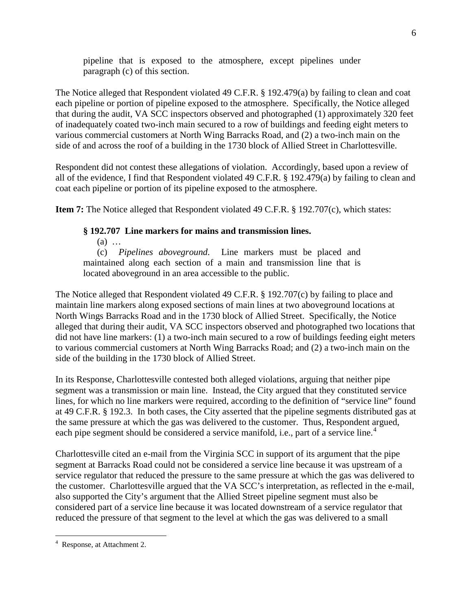pipeline that is exposed to the atmosphere, except pipelines under paragraph (c) of this section.

The Notice alleged that Respondent violated 49 C.F.R. § 192.479(a) by failing to clean and coat each pipeline or portion of pipeline exposed to the atmosphere. Specifically, the Notice alleged that during the audit, VA SCC inspectors observed and photographed (1) approximately 320 feet of inadequately coated two-inch main secured to a row of buildings and feeding eight meters to various commercial customers at North Wing Barracks Road, and (2) a two-inch main on the side of and across the roof of a building in the 1730 block of Allied Street in Charlottesville.

Respondent did not contest these allegations of violation. Accordingly, based upon a review of all of the evidence, I find that Respondent violated 49 C.F.R. § 192.479(a) by failing to clean and coat each pipeline or portion of its pipeline exposed to the atmosphere.

**Item 7:** The Notice alleged that Respondent violated 49 C.F.R. § 192.707(c), which states:

### **§ 192.707 Line markers for mains and transmission lines.**

(a) …

(c) *Pipelines aboveground*. Line markers must be placed and maintained along each section of a main and transmission line that is located aboveground in an area accessible to the public.

The Notice alleged that Respondent violated 49 C.F.R. § 192.707(c) by failing to place and maintain line markers along exposed sections of main lines at two aboveground locations at North Wings Barracks Road and in the 1730 block of Allied Street. Specifically, the Notice alleged that during their audit, VA SCC inspectors observed and photographed two locations that did not have line markers: (1) a two-inch main secured to a row of buildings feeding eight meters to various commercial customers at North Wing Barracks Road; and (2) a two-inch main on the side of the building in the 1730 block of Allied Street.

In its Response, Charlottesville contested both alleged violations, arguing that neither pipe segment was a transmission or main line. Instead, the City argued that they constituted service lines, for which no line markers were required, according to the definition of "service line" found at 49 C.F.R. § 192.3. In both cases, the City asserted that the pipeline segments distributed gas at the same pressure at which the gas was delivered to the customer. Thus, Respondent argued, each pipe segment should be considered a service manifold, i.e., part of a service line.<sup>4</sup>

Charlottesville cited an e-mail from the Virginia SCC in support of its argument that the pipe segment at Barracks Road could not be considered a service line because it was upstream of a service regulator that reduced the pressure to the same pressure at which the gas was delivered to the customer. Charlottesville argued that the VA SCC's interpretation, as reflected in the e-mail, also supported the City's argument that the Allied Street pipeline segment must also be considered part of a service line because it was located downstream of a service regulator that reduced the pressure of that segment to the level at which the gas was delivered to a small

 $\overline{a}$ 4 Response, at Attachment 2.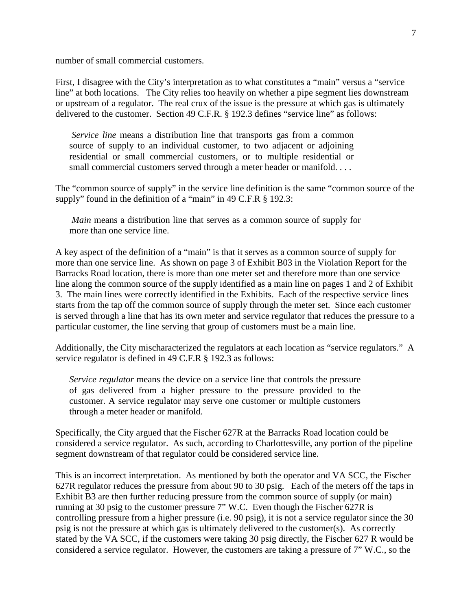number of small commercial customers.

First, I disagree with the City's interpretation as to what constitutes a "main" versus a "service line" at both locations. The City relies too heavily on whether a pipe segment lies downstream or upstream of a regulator. The real crux of the issue is the pressure at which gas is ultimately delivered to the customer. Section 49 C.F.R. § 192.3 defines "service line" as follows:

*Service line* means a distribution line that transports gas from a common source of supply to an individual customer, to two adjacent or adjoining residential or small commercial customers, or to multiple residential or small commercial customers served through a meter header or manifold. . . .

The "common source of supply" in the service line definition is the same "common source of the supply" found in the definition of a "main" in 49 C.F.R § 192.3:

*Main* means a distribution line that serves as a common source of supply for more than one service line.

A key aspect of the definition of a "main" is that it serves as a common source of supply for more than one service line. As shown on page 3 of Exhibit B03 in the Violation Report for the Barracks Road location, there is more than one meter set and therefore more than one service line along the common source of the supply identified as a main line on pages 1 and 2 of Exhibit 3. The main lines were correctly identified in the Exhibits. Each of the respective service lines starts from the tap off the common source of supply through the meter set. Since each customer is served through a line that has its own meter and service regulator that reduces the pressure to a particular customer, the line serving that group of customers must be a main line.

Additionally, the City mischaracterized the regulators at each location as "service regulators." A service regulator is defined in 49 C.F.R § 192.3 as follows:

*Service regulator* means the device on a service line that controls the pressure of gas delivered from a higher pressure to the pressure provided to the customer. A service regulator may serve one customer or multiple customers through a meter header or manifold.

Specifically, the City argued that the Fischer 627R at the Barracks Road location could be considered a service regulator. As such, according to Charlottesville, any portion of the pipeline segment downstream of that regulator could be considered service line.

This is an incorrect interpretation. As mentioned by both the operator and VA SCC, the Fischer 627R regulator reduces the pressure from about 90 to 30 psig. Each of the meters off the taps in Exhibit B3 are then further reducing pressure from the common source of supply (or main) running at 30 psig to the customer pressure 7" W.C. Even though the Fischer 627R is controlling pressure from a higher pressure (i.e. 90 psig), it is not a service regulator since the 30 psig is not the pressure at which gas is ultimately delivered to the customer(s). As correctly stated by the VA SCC, if the customers were taking 30 psig directly, the Fischer 627 R would be considered a service regulator. However, the customers are taking a pressure of 7" W.C., so the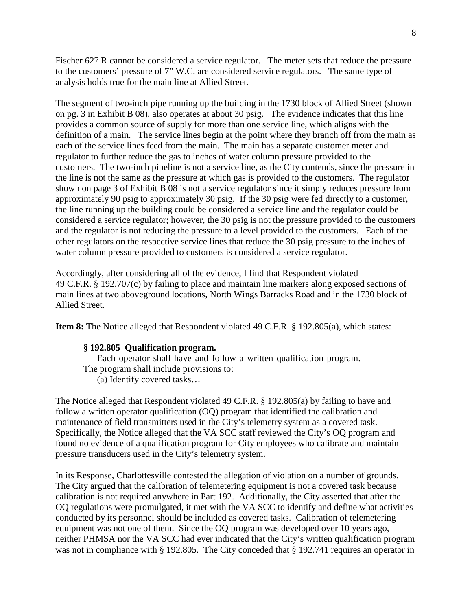Fischer 627 R cannot be considered a service regulator. The meter sets that reduce the pressure to the customers' pressure of 7" W.C. are considered service regulators. The same type of analysis holds true for the main line at Allied Street.

The segment of two-inch pipe running up the building in the 1730 block of Allied Street (shown on pg. 3 in Exhibit B 08), also operates at about 30 psig. The evidence indicates that this line provides a common source of supply for more than one service line, which aligns with the definition of a main. The service lines begin at the point where they branch off from the main as each of the service lines feed from the main. The main has a separate customer meter and regulator to further reduce the gas to inches of water column pressure provided to the customers. The two-inch pipeline is not a service line, as the City contends, since the pressure in the line is not the same as the pressure at which gas is provided to the customers. The regulator shown on page 3 of Exhibit B 08 is not a service regulator since it simply reduces pressure from approximately 90 psig to approximately 30 psig. If the 30 psig were fed directly to a customer, the line running up the building could be considered a service line and the regulator could be considered a service regulator; however, the 30 psig is not the pressure provided to the customers and the regulator is not reducing the pressure to a level provided to the customers. Each of the other regulators on the respective service lines that reduce the 30 psig pressure to the inches of water column pressure provided to customers is considered a service regulator.

Accordingly, after considering all of the evidence, I find that Respondent violated 49 C.F.R. § 192.707(c) by failing to place and maintain line markers along exposed sections of main lines at two aboveground locations, North Wings Barracks Road and in the 1730 block of Allied Street.

**Item 8:** The Notice alleged that Respondent violated 49 C.F.R. § 192.805(a), which states:

#### **§ 192.805 Qualification program.**

Each operator shall have and follow a written qualification program. The program shall include provisions to: (a) Identify covered tasks…

The Notice alleged that Respondent violated 49 C.F.R. § 192.805(a) by failing to have and follow a written operator qualification (OQ) program that identified the calibration and maintenance of field transmitters used in the City's telemetry system as a covered task. Specifically, the Notice alleged that the VA SCC staff reviewed the City's OQ program and found no evidence of a qualification program for City employees who calibrate and maintain pressure transducers used in the City's telemetry system.

In its Response, Charlottesville contested the allegation of violation on a number of grounds. The City argued that the calibration of telemetering equipment is not a covered task because calibration is not required anywhere in Part 192. Additionally, the City asserted that after the OQ regulations were promulgated, it met with the VA SCC to identify and define what activities conducted by its personnel should be included as covered tasks. Calibration of telemetering equipment was not one of them. Since the OQ program was developed over 10 years ago, neither PHMSA nor the VA SCC had ever indicated that the City's written qualification program was not in compliance with § 192.805. The City conceded that § 192.741 requires an operator in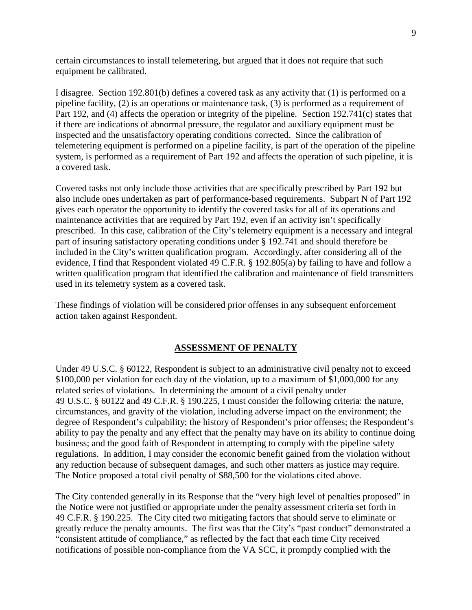certain circumstances to install telemetering, but argued that it does not require that such equipment be calibrated.

I disagree. Section 192.801(b) defines a covered task as any activity that (1) is performed on a pipeline facility, (2) is an operations or maintenance task, (3) is performed as a requirement of Part 192, and (4) affects the operation or integrity of the pipeline. Section 192.741(c) states that if there are indications of abnormal pressure, the regulator and auxiliary equipment must be inspected and the unsatisfactory operating conditions corrected. Since the calibration of telemetering equipment is performed on a pipeline facility, is part of the operation of the pipeline system, is performed as a requirement of Part 192 and affects the operation of such pipeline, it is a covered task.

Covered tasks not only include those activities that are specifically prescribed by Part 192 but also include ones undertaken as part of performance-based requirements. Subpart N of Part 192 gives each operator the opportunity to identify the covered tasks for all of its operations and maintenance activities that are required by Part 192, even if an activity isn't specifically prescribed. In this case, calibration of the City's telemetry equipment is a necessary and integral part of insuring satisfactory operating conditions under § 192.741 and should therefore be included in the City's written qualification program. Accordingly, after considering all of the evidence, I find that Respondent violated 49 C.F.R. § 192.805(a) by failing to have and follow a written qualification program that identified the calibration and maintenance of field transmitters used in its telemetry system as a covered task.

These findings of violation will be considered prior offenses in any subsequent enforcement action taken against Respondent.

#### **ASSESSMENT OF PENALTY**

Under 49 U.S.C. § 60122, Respondent is subject to an administrative civil penalty not to exceed \$100,000 per violation for each day of the violation, up to a maximum of \$1,000,000 for any related series of violations. In determining the amount of a civil penalty under 49 U.S.C. § 60122 and 49 C.F.R. § 190.225, I must consider the following criteria: the nature, circumstances, and gravity of the violation, including adverse impact on the environment; the degree of Respondent's culpability; the history of Respondent's prior offenses; the Respondent's ability to pay the penalty and any effect that the penalty may have on its ability to continue doing business; and the good faith of Respondent in attempting to comply with the pipeline safety regulations. In addition, I may consider the economic benefit gained from the violation without any reduction because of subsequent damages, and such other matters as justice may require. The Notice proposed a total civil penalty of \$88,500 for the violations cited above.

The City contended generally in its Response that the "very high level of penalties proposed" in the Notice were not justified or appropriate under the penalty assessment criteria set forth in 49 C.F.R. § 190.225. The City cited two mitigating factors that should serve to eliminate or greatly reduce the penalty amounts. The first was that the City's "past conduct" demonstrated a "consistent attitude of compliance," as reflected by the fact that each time City received notifications of possible non-compliance from the VA SCC, it promptly complied with the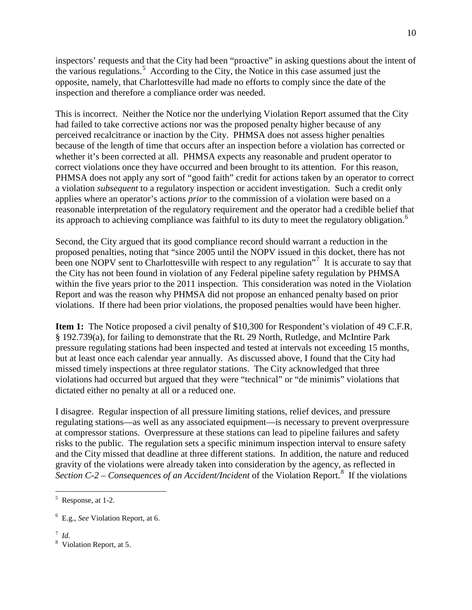inspectors' requests and that the City had been "proactive" in asking questions about the intent of the various regulations.<sup>5</sup> According to the City, the Notice in this case assumed just the opposite, namely, that Charlottesville had made no efforts to comply since the date of the inspection and therefore a compliance order was needed.

This is incorrect. Neither the Notice nor the underlying Violation Report assumed that the City had failed to take corrective actions nor was the proposed penalty higher because of any perceived recalcitrance or inaction by the City. PHMSA does not assess higher penalties because of the length of time that occurs after an inspection before a violation has corrected or whether it's been corrected at all. PHMSA expects any reasonable and prudent operator to correct violations once they have occurred and been brought to its attention. For this reason, PHMSA does not apply any sort of "good faith" credit for actions taken by an operator to correct a violation *subsequent* to a regulatory inspection or accident investigation. Such a credit only applies where an operator's actions *prior* to the commission of a violation were based on a reasonable interpretation of the regulatory requirement and the operator had a credible belief that its approach to achieving compliance was faithful to its duty to meet the regulatory obligation.<sup>6</sup>

Second, the City argued that its good compliance record should warrant a reduction in the proposed penalties, noting that "since 2005 until the NOPV issued in this docket, there has not been one NOPV sent to Charlottesville with respect to any regulation"<sup>7</sup> It is accurate to say that the City has not been found in violation of any Federal pipeline safety regulation by PHMSA within the five years prior to the 2011 inspection. This consideration was noted in the Violation Report and was the reason why PHMSA did not propose an enhanced penalty based on prior violations. If there had been prior violations, the proposed penalties would have been higher.

**Item 1:** The Notice proposed a civil penalty of \$10,300 for Respondent's violation of 49 C.F.R. § 192.739(a), for failing to demonstrate that the Rt. 29 North, Rutledge, and McIntire Park pressure regulating stations had been inspected and tested at intervals not exceeding 15 months, but at least once each calendar year annually. As discussed above, I found that the City had missed timely inspections at three regulator stations. The City acknowledged that three violations had occurred but argued that they were "technical" or "de minimis" violations that dictated either no penalty at all or a reduced one.

I disagree. Regular inspection of all pressure limiting stations, relief devices, and pressure regulating stations—as well as any associated equipment—is necessary to prevent overpressure at compressor stations. Overpressure at these stations can lead to pipeline failures and safety risks to the public. The regulation sets a specific minimum inspection interval to ensure safety and the City missed that deadline at three different stations. In addition, the nature and reduced gravity of the violations were already taken into consideration by the agency, as reflected in Section C-2 – Consequences of an Accident/Incident of the Violation Report.<sup>8</sup> If the violations

 $\frac{7}{8}$  *Id.* 

 $\overline{a}$ 

<sup>&</sup>lt;sup>5</sup> Response, at 1-2.

<sup>6</sup> E.g., *See* Violation Report, at 6.

<sup>&</sup>lt;sup>8</sup> Violation Report, at 5.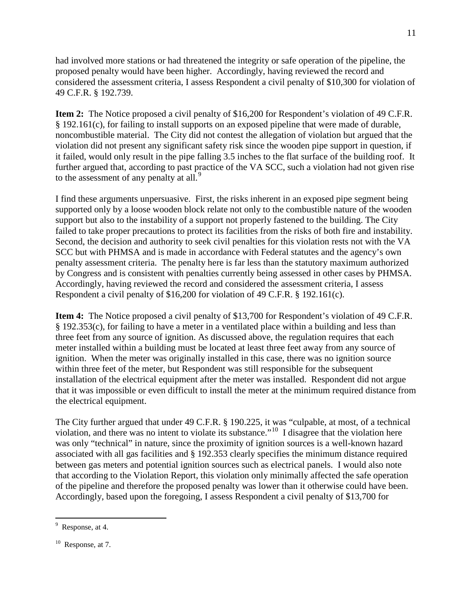had involved more stations or had threatened the integrity or safe operation of the pipeline, the proposed penalty would have been higher. Accordingly, having reviewed the record and considered the assessment criteria, I assess Respondent a civil penalty of \$10,300 for violation of 49 C.F.R. § 192.739.

**Item 2:** The Notice proposed a civil penalty of \$16,200 for Respondent's violation of 49 C.F.R. § 192.161(c), for failing to install supports on an exposed pipeline that were made of durable, noncombustible material. The City did not contest the allegation of violation but argued that the violation did not present any significant safety risk since the wooden pipe support in question, if it failed, would only result in the pipe falling 3.5 inches to the flat surface of the building roof. It further argued that, according to past practice of the VA SCC, such a violation had not given rise to the assessment of any penalty at all.<sup>9</sup>

I find these arguments unpersuasive. First, the risks inherent in an exposed pipe segment being supported only by a loose wooden block relate not only to the combustible nature of the wooden support but also to the instability of a support not properly fastened to the building. The City failed to take proper precautions to protect its facilities from the risks of both fire and instability. Second, the decision and authority to seek civil penalties for this violation rests not with the VA SCC but with PHMSA and is made in accordance with Federal statutes and the agency's own penalty assessment criteria. The penalty here is far less than the statutory maximum authorized by Congress and is consistent with penalties currently being assessed in other cases by PHMSA. Accordingly, having reviewed the record and considered the assessment criteria, I assess Respondent a civil penalty of \$16,200 for violation of 49 C.F.R. § 192.161(c).

**Item 4:** The Notice proposed a civil penalty of \$13,700 for Respondent's violation of 49 C.F.R. § 192.353(c), for failing to have a meter in a ventilated place within a building and less than three feet from any source of ignition. As discussed above, the regulation requires that each meter installed within a building must be located at least three feet away from any source of ignition. When the meter was originally installed in this case, there was no ignition source within three feet of the meter, but Respondent was still responsible for the subsequent installation of the electrical equipment after the meter was installed. Respondent did not argue that it was impossible or even difficult to install the meter at the minimum required distance from the electrical equipment.

The City further argued that under 49 C.F.R. § 190.225, it was "culpable, at most, of a technical violation, and there was no intent to violate its substance."10 I disagree that the violation here was only "technical" in nature, since the proximity of ignition sources is a well-known hazard associated with all gas facilities and § 192.353 clearly specifies the minimum distance required between gas meters and potential ignition sources such as electrical panels. I would also note that according to the Violation Report, this violation only minimally affected the safe operation of the pipeline and therefore the proposed penalty was lower than it otherwise could have been. Accordingly, based upon the foregoing, I assess Respondent a civil penalty of \$13,700 for

 $\overline{a}$ 

<sup>&</sup>lt;sup>9</sup> Response, at 4.

 $10$  Response, at 7.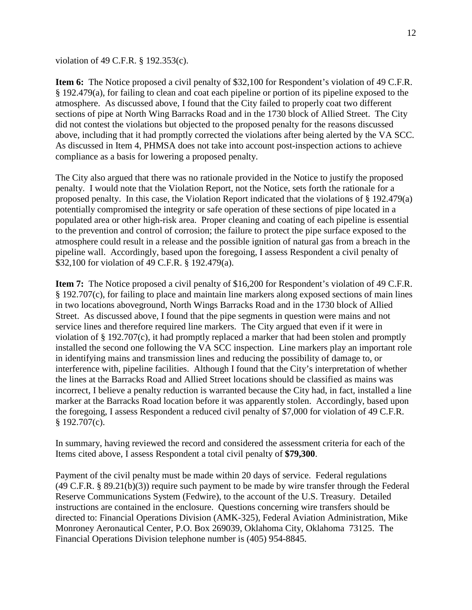violation of 49 C.F.R. § 192.353(c).

**Item 6:** The Notice proposed a civil penalty of \$32,100 for Respondent's violation of 49 C.F.R. § 192.479(a), for failing to clean and coat each pipeline or portion of its pipeline exposed to the atmosphere. As discussed above, I found that the City failed to properly coat two different sections of pipe at North Wing Barracks Road and in the 1730 block of Allied Street. The City did not contest the violations but objected to the proposed penalty for the reasons discussed above, including that it had promptly corrected the violations after being alerted by the VA SCC. As discussed in Item 4, PHMSA does not take into account post-inspection actions to achieve compliance as a basis for lowering a proposed penalty.

The City also argued that there was no rationale provided in the Notice to justify the proposed penalty. I would note that the Violation Report, not the Notice, sets forth the rationale for a proposed penalty. In this case, the Violation Report indicated that the violations of § 192.479(a) potentially compromised the integrity or safe operation of these sections of pipe located in a populated area or other high-risk area. Proper cleaning and coating of each pipeline is essential to the prevention and control of corrosion; the failure to protect the pipe surface exposed to the atmosphere could result in a release and the possible ignition of natural gas from a breach in the pipeline wall. Accordingly, based upon the foregoing, I assess Respondent a civil penalty of \$32,100 for violation of 49 C.F.R. § 192.479(a).

**Item 7:** The Notice proposed a civil penalty of \$16,200 for Respondent's violation of 49 C.F.R. § 192.707(c), for failing to place and maintain line markers along exposed sections of main lines in two locations aboveground, North Wings Barracks Road and in the 1730 block of Allied Street. As discussed above, I found that the pipe segments in question were mains and not service lines and therefore required line markers. The City argued that even if it were in violation of § 192.707(c), it had promptly replaced a marker that had been stolen and promptly installed the second one following the VA SCC inspection. Line markers play an important role in identifying mains and transmission lines and reducing the possibility of damage to, or interference with, pipeline facilities. Although I found that the City's interpretation of whether the lines at the Barracks Road and Allied Street locations should be classified as mains was incorrect, I believe a penalty reduction is warranted because the City had, in fact, installed a line marker at the Barracks Road location before it was apparently stolen. Accordingly, based upon the foregoing, I assess Respondent a reduced civil penalty of \$7,000 for violation of 49 C.F.R. § 192.707(c).

In summary, having reviewed the record and considered the assessment criteria for each of the Items cited above, I assess Respondent a total civil penalty of **\$79,300**.

Payment of the civil penalty must be made within 20 days of service. Federal regulations (49 C.F.R. § 89.21(b)(3)) require such payment to be made by wire transfer through the Federal Reserve Communications System (Fedwire), to the account of the U.S. Treasury. Detailed instructions are contained in the enclosure. Questions concerning wire transfers should be directed to: Financial Operations Division (AMK-325), Federal Aviation Administration, Mike Monroney Aeronautical Center, P.O. Box 269039, Oklahoma City, Oklahoma 73125. The Financial Operations Division telephone number is (405) 954-8845.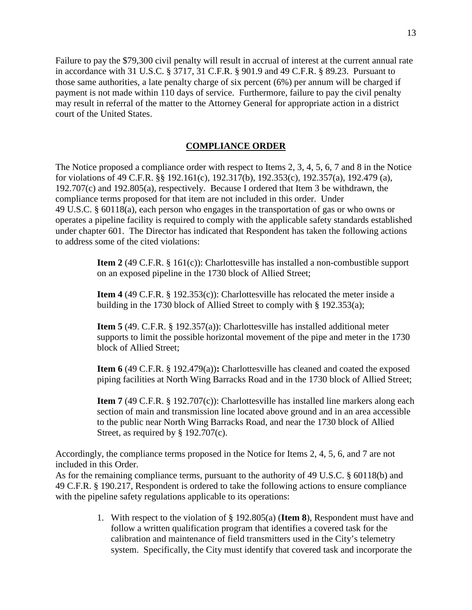Failure to pay the \$79,300 civil penalty will result in accrual of interest at the current annual rate in accordance with 31 U.S.C. § 3717, 31 C.F.R. § 901.9 and 49 C.F.R. § 89.23. Pursuant to those same authorities, a late penalty charge of six percent (6%) per annum will be charged if payment is not made within 110 days of service. Furthermore, failure to pay the civil penalty may result in referral of the matter to the Attorney General for appropriate action in a district court of the United States.

# **COMPLIANCE ORDER**

The Notice proposed a compliance order with respect to Items 2, 3, 4, 5, 6, 7 and 8 in the Notice for violations of 49 C.F.R. §§ 192.161(c), 192.317(b), 192.353(c), 192.357(a), 192.479 (a), 192.707(c) and 192.805(a), respectively. Because I ordered that Item 3 be withdrawn, the compliance terms proposed for that item are not included in this order. Under 49 U.S.C. § 60118(a), each person who engages in the transportation of gas or who owns or operates a pipeline facility is required to comply with the applicable safety standards established under chapter 601. The Director has indicated that Respondent has taken the following actions to address some of the cited violations:

> **Item 2** (49 C.F.R. § 161(c)): Charlottesville has installed a non-combustible support on an exposed pipeline in the 1730 block of Allied Street;

**Item 4** (49 C.F.R. § 192.353(c)): Charlottesville has relocated the meter inside a building in the 1730 block of Allied Street to comply with § 192.353(a);

**Item 5** (49. C.F.R. § 192.357(a)): Charlottesville has installed additional meter supports to limit the possible horizontal movement of the pipe and meter in the 1730 block of Allied Street;

**Item 6** (49 C.F.R. § 192.479(a))**:** Charlottesville has cleaned and coated the exposed piping facilities at North Wing Barracks Road and in the 1730 block of Allied Street;

**Item 7** (49 C.F.R. § 192.707(c)): Charlottesville has installed line markers along each section of main and transmission line located above ground and in an area accessible to the public near North Wing Barracks Road, and near the 1730 block of Allied Street, as required by § 192.707(c).

Accordingly, the compliance terms proposed in the Notice for Items 2, 4, 5, 6, and 7 are not included in this Order.

As for the remaining compliance terms, pursuant to the authority of 49 U.S.C. § 60118(b) and 49 C.F.R. § 190.217, Respondent is ordered to take the following actions to ensure compliance with the pipeline safety regulations applicable to its operations:

> 1. With respect to the violation of § 192.805(a) (**Item 8**), Respondent must have and follow a written qualification program that identifies a covered task for the calibration and maintenance of field transmitters used in the City's telemetry system. Specifically, the City must identify that covered task and incorporate the